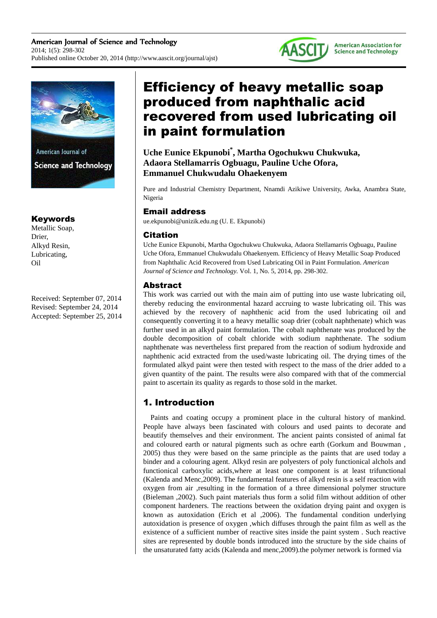



American Journal of **Science and Technology** 

# Keywords

Metallic Soap, Drier, Alkyd Resin, Lubricating, Oil

Received: September 07, 2014 Revised: September 24, 2014 Accepted: September 25, 2014

# Efficiency of heavy metallic soap produced from naphthalic acid recovered from used lubricating oil in paint formulation

**Uche Eunice Ekpunobi\* , Martha Ogochukwu Chukwuka, Adaora Stellamarris Ogbuagu, Pauline Uche Ofora, Emmanuel Chukwudalu Ohaekenyem** 

Pure and Industrial Chemistry Department, Nnamdi Azikiwe University, Awka, Anambra State, Nigeria

# Email address

ue.ekpunobi@unizik.edu.ng (U. E. Ekpunobi)

## Citation

Uche Eunice Ekpunobi, Martha Ogochukwu Chukwuka, Adaora Stellamarris Ogbuagu, Pauline Uche Ofora, Emmanuel Chukwudalu Ohaekenyem. Efficiency of Heavy Metallic Soap Produced from Naphthalic Acid Recovered from Used Lubricating Oil in Paint Formulation. *American Journal of Science and Technology.* Vol. 1, No. 5, 2014, pp. 298-302.

# Abstract

This work was carried out with the main aim of putting into use waste lubricating oil, thereby reducing the environmental hazard accruing to waste lubricating oil. This was achieved by the recovery of naphthenic acid from the used lubricating oil and consequently converting it to a heavy metallic soap drier (cobalt naphthenate) which was further used in an alkyd paint formulation. The cobalt naphthenate was produced by the double decomposition of cobalt chloride with sodium naphthenate. The sodium naphthenate was nevertheless first prepared from the reaction of sodium hydroxide and naphthenic acid extracted from the used/waste lubricating oil. The drying times of the formulated alkyd paint were then tested with respect to the mass of the drier added to a given quantity of the paint. The results were also compared with that of the commercial paint to ascertain its quality as regards to those sold in the market.

# 1. Introduction

Paints and coating occupy a prominent place in the cultural history of mankind. People have always been fascinated with colours and used paints to decorate and beautify themselves and their environment. The ancient paints consisted of animal fat and coloured earth or natural pigments such as ochre earth (Gorkum and Bouwman , 2005) thus they were based on the same principle as the paints that are used today a binder and a colouring agent. Alkyd resin are polyesters of poly functionical alchols and functionical carboxylic acids,where at least one component is at least trifunctional (Kalenda and Menc,2009). The fundamental features of alkyd resin is a self reaction with oxygen from air ,resulting in the formation of a three dimensional polymer structure (Bieleman ,2002). Such paint materials thus form a solid film without addition of other component hardeners. The reactions between the oxidation drying paint and oxygen is known as autoxidation (Erich et al ,2006). The fundamental condition underlying autoxidation is presence of oxygen ,which diffuses through the paint film as well as the existence of a sufficient number of reactive sites inside the paint system . Such reactive sites are represented by double bonds introduced into the structure by the side chains of the unsaturated fatty acids (Kalenda and menc,2009).the polymer network is formed via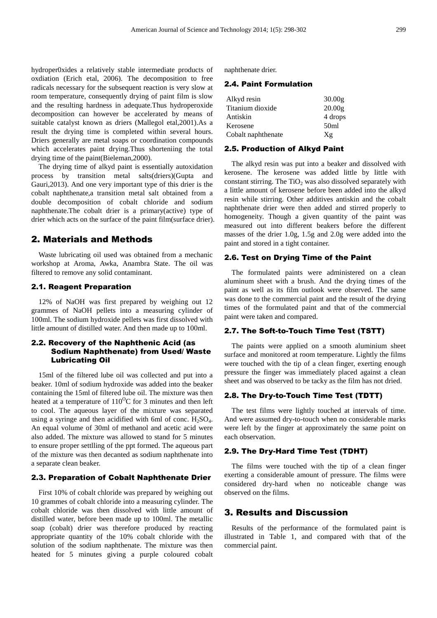hydroper0xides a relatively stable intermediate products of oxdiation (Erich etal, 2006). The decomposition to free radicals necessary for the subsequent reaction is very slow at room temperature, consequently drying of paint film is slow and the resulting hardness in adequate.Thus hydroperoxide decomposition can however be accelerated by means of suitable catalyst known as driers (Mallegol etal,2001).As a result the drying time is completed within several hours. Driers generally are metal soaps or coordination compounds which accelerates paint drying.Thus shorteniing the total drying time of the paint(Bieleman,2000).

The drying time of alkyd paint is essentially autoxidation process by transition metal salts(driers)(Gupta and Gauri,2013). And one very important type of this drier is the cobalt naphthenate,a transition metal salt obtained from a double decomposition of cobalt chloride and sodium naphthenate.The cobalt drier is a primary(active) type of drier which acts on the surface of the paint film(surface drier).

## 2. Materials and Methods

Waste lubricating oil used was obtained from a mechanic workshop at Aroma, Awka, Anambra State. The oil was filtered to remove any solid contaminant.

### 2.1. Reagent Preparation

12% of NaOH was first prepared by weighing out 12 grammes of NaOH pellets into a measuring cylinder of 100ml. The sodium hydroxide pellets was first dissolved with little amount of distilled water. And then made up to 100ml.

### 2.2. Recovery of the Naphthenic Acid (as Sodium Naphthenate) from Used/ Waste Lubricating Oil

15ml of the filtered lube oil was collected and put into a beaker. 10ml of sodium hydroxide was added into the beaker containing the 15ml of filtered lube oil. The mixture was then heated at a temperature of  $110^{0}$ C for 3 minutes and then left to cool. The aqueous layer of the mixture was separated using a syringe and then acidified with 6ml of conc.  $H_2SO_4$ . An equal volume of 30ml of methanol and acetic acid were also added. The mixture was allowed to stand for 5 minutes to ensure proper settlling of the ppt formed. The aqueous part of the mixture was then decanted as sodium naphthenate into a separate clean beaker.

### 2.3. Preparation of Cobalt Naphthenate Drier

First 10% of cobalt chloride was prepared by weighing out 10 grammes of cobalt chloride into a measuring cylinder. The cobalt chloride was then dissolved with little amount of distilled water, before been made up to 100ml. The metallic soap (cobalt) drier was therefore produced by reacting appropriate quantity of the 10% cobalt chloride with the solution of the sodium naphthenate. The mixture was then heated for 5 minutes giving a purple coloured cobalt naphthenate drier.

#### 2.4. Paint Formulation

| 30.00g             |
|--------------------|
| 20.00 <sub>g</sub> |
| 4 drops            |
| 50 <sub>ml</sub>   |
| Xg                 |
|                    |

#### 2.5. Production of Alkyd Paint

The alkyd resin was put into a beaker and dissolved with kerosene. The kerosene was added little by little with constant stirring. The  $TiO<sub>2</sub>$  was also dissolved separately with a little amount of kerosene before been added into the alkyd resin while stirring. Other additives antiskin and the cobalt naphthenate drier were then added and stirred properly to homogeneity. Though a given quantity of the paint was measured out into different beakers before the different masses of the drier 1.0g, 1.5g and 2.0g were added into the paint and stored in a tight container.

#### 2.6. Test on Drying Time of the Paint

The formulated paints were administered on a clean aluminum sheet with a brush. And the drying times of the paint as well as its film outlook were observed. The same was done to the commercial paint and the result of the drying times of the formulated paint and that of the commercial paint were taken and compared.

#### 2.7. The Soft-to-Touch Time Test (TSTT)

The paints were applied on a smooth aluminium sheet surface and monitored at room temperature. Lightly the films were touched with the tip of a clean finger, exerting enough pressure the finger was immediately placed against a clean sheet and was observed to be tacky as the film has not dried.

#### 2.8. The Dry-to-Touch Time Test (TDTT)

The test films were lightly touched at intervals of time. And were assumed dry-to-touch when no considerable marks were left by the finger at approximately the same point on each observation.

#### 2.9. The Dry-Hard Time Test (TDHT)

The films were touched with the tip of a clean finger exerting a considerable amount of pressure. The films were considered dry-hard when no noticeable change was observed on the films.

### 3. Results and Discussion

Results of the performance of the formulated paint is illustrated in Table 1, and compared with that of the commercial paint.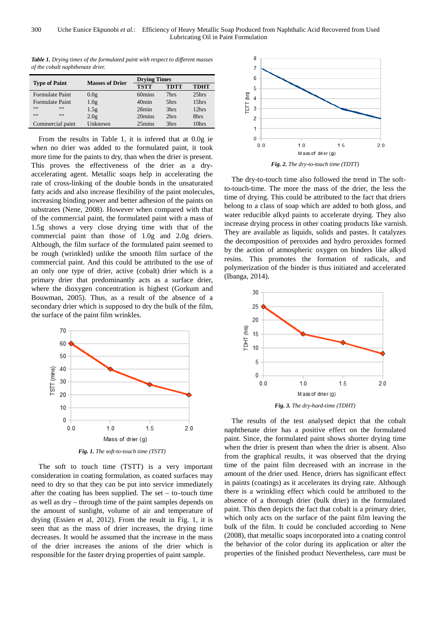| of the coball naphlitenate arter. |                        |                     |             |             |
|-----------------------------------|------------------------|---------------------|-------------|-------------|
| <b>Type of Paint</b>              | <b>Masses of Drier</b> | <b>Drying Times</b> |             |             |
|                                   |                        | <b>TSTT</b>         | <b>TDTT</b> | <b>TDHT</b> |
| <b>Formulate Paint</b>            | 0.0 <sub>g</sub>       | 60mins              | 7hrs        | 25hrs       |
| Formulate Paint                   | 1.0 <sub>g</sub>       | 40 <sub>min</sub>   | 5hrs        | 15hrs       |
| ,,,,<br>,,,,                      | 1.5g                   | 28min               | 3hrs        | 12hrs       |

Commercial paint Unknown 25mins 3hrs 10hrs

2.0g 20mins 2hrs 8hrs

*Table 1. Drying times of the formulated paint with respect to different masses of the cobalt naphthenate drier.* 

From the results in Table 1, it is infered that at 0.0g ie when no drier was added to the formulated paint, it took more time for the paints to dry, than when the drier is present. This proves the effectiveness of the drier as a dryaccelerating agent. Metallic soaps help in accelerating the rate of cross-linking of the double bonds in the unsaturated fatty acids and also increase flexibility of the paint molecules, increasing binding power and better adhesion of the paints on substrates (Nene, 2008). However when compared with that of the commercial paint, the formulated paint with a mass of 1.5g shows a very close drying time with that of the commercial paint than those of 1.0g and 2.0g driers. Although, the film surface of the formulated paint seemed to be rough (wrinkled) unlike the smooth film surface of the commercial paint. And this could be attributed to the use of an only one type of drier, active (cobalt) drier which is a primary drier that predominantly acts as a surface drier, where the dioxygen concentration is highest (Gorkum and Bouwman, 2005). Thus, as a result of the absence of a secondary drier which is supposed to dry the bulk of the film, the surface of the paint film wrinkles.



The soft to touch time (TSTT) is a very important consideration in coating formulation, as coated surfaces may need to dry so that they can be put into service immediately after the coating has been supplied. The set – to–touch time as well as dry – through time of the paint samples depends on the amount of sunlight, volume of air and temperature of drying (Essien et al, 2012). From the result in Fig. 1, it is seen that as the mass of drier increases, the drying time decreases. It would be assumed that the increase in the mass of the drier increases the anions of the drier which is responsible for the faster drying properties of paint sample.



The dry-to-touch time also followed the trend in The softto-touch-time. The more the mass of the drier, the less the time of drying. This could be attributed to the fact that driers belong to a class of soap which are added to both gloss, and water reducible alkyd paints to accelerate drying. They also increase drying process in other coating products like varnish. They are available as liquids, solids and pastes. It catalyzes the decomposition of peroxides and hydro peroxides formed by the action of atmospheric oxygen on binders like alkyd resins. This promotes the formation of radicals, and polymerization of the binder is thus initiated and accelerated (Ibanga, 2014).



The results of the test analysed depict that the cobalt naphthenate drier has a positive effect on the formulated paint. Since, the formulated paint shows shorter drying time when the drier is present than when the drier is absent. Also from the graphical results, it was observed that the drying time of the paint film decreased with an increase in the amount of the drier used. Hence, driers has significant effect in paints (coatings) as it accelerates its drying rate. Although there is a wrinkling effect which could be attributed to the absence of a thorough drier (bulk drier) in the formulated paint. This then depicts the fact that cobalt is a primary drier, which only acts on the surface of the paint film leaving the bulk of the film. It could be concluded according to Nene (2008), that metallic soaps incorporated into a coating control the behavior of the color during its application or alter the properties of the finished product Nevertheless, care must be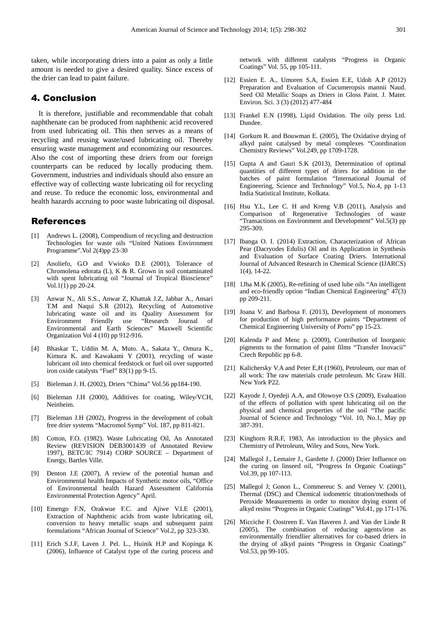taken, while incorporating driers into a paint as only a little amount is needed to give a desired quality. Since excess of the drier can lead to paint failure.

### 4. Conclusion

It is therefore, justifiable and recommendable that cobalt naphthenate can be produced from naphthenic acid recovered from used lubricating oil. This then serves as a means of recycling and reusing waste/used lubricating oil. Thereby ensuring waste management and economizing our resources. Also the cost of importing these driers from our foreign counterparts can be reduced by locally producing them. Government, industries and individuals should also ensure an effective way of collecting waste lubricating oil for recycling and reuse. To reduce the economic loss, environmental and health hazards accruing to poor waste lubricating oil disposal.

### References

- [1] Andrews L. (2008), Compendium of recycling and destruction Technologies for waste oils "United Nations Environment Programme".Vol 2(4)pp 23-30
- [2] Anoliefo, G.O and Vwioko D.E (2001), Tolerance of Chromolena edorata (L), K & R. Grown in soil contaminated with spent lubricating oil "Journal of Tropical Bioscience" Vol.1 $(1)$  pp 20-24.
- [3] Anwar N., Ali S.S., Anwar Z, Khattak J.Z, Jabbar A., Ansari T.M and Naqui S.R (2012), Recycling of Automotive lubricating waste oil and its Quality Assessment for Environment Friendly use "Research Journal of Environmental and Earth Sciences" Maxwell Scientific Organization Vol 4 (10) pp 912-916.
- [4] Bhaskar T., Uddin M. A, Muto. A., Sakata Y., Omura K., Kimura K. and Kawakami Y (2001), recycling of waste lubricant oil into chemical feedstock or fuel oil over supported iron oxide catalysts "Fuel" 83(1) pp 9-15.
- [5] Bieleman J. H. (2002), Driers "Chima" Vol.56 pp184-190.
- [6] Bieleman J.H (2000), Additives for coating, Wiley/VCH, Neinheim.
- [7] Bieleman J.H (2002), Progress in the development of cobalt free drier systems "Macromol Symp" Vol. 187, pp 811-821.
- [8] Cotton, F.O. (1982). Waste Lubricating Oil, An Annotated Review (REVISION DEB3001439 of Annotated Review 1997), BETC/IC 7914) CORP SOURCE – Department of Energy, Bartles Ville.
- [9] Denton J.E (2007), A review of the potential human and Environmental health Impacts of Synthetic motor oils, "Office of Environmental health Hazard Assessment California Environmental Protection Agency" April.
- [10] Emengo F.N, Orakwue F.C. and Ajiwe V.I.E (2001), Extraction of Naphthenic acids from waste lubricating oil, conversion to heavy metallic soaps and subsequent paint formulations "African Journal of Science" Vol.2, pp 323-330.
- [11] Erich S.J.F, Laven J. Pel. L., Huinik H.P and Kopinga K (2006), Influence of Catalyst type of the curing process and

network with different catalysts "Progress in Organic Coatings" Vol. 55, pp 105-111.

- [12] Essien E. A., Umoren S.A, Essien E.E, Udoh A.P (2012) Preparation and Evaluation of Cucumeropsis mannii Naud. Seed Oil Metallic Soaps as Driers in Gloss Paint. J. Mater. Environ. Sci. 3 (3) (2012) 477-484
- [13] Frankel E.N (1998), Lipid Oxidation. The oily press Ltd. Dundee.
- [14] Gorkum R. and Bouwman E. (2005), The Oxidative drying of alkyd paint catalysed by metal complexes "Coordination Chemistry Reviews" Vol.249, pp 1709-1728.
- [15] Gupta A and Gauri S.K (2013), Determination of optimal quantities of different types of driers for addition in the batches of paint formulation "International Journal of Engineering, Science and Technology" Vol.5, No.4, pp 1-13 India Statistical Institute, Kolkata.
- [16] Hsu Y.L, Lee C. H and Kreng V.B (2011), Analysis and Comparison of Regenerative Technologies of waste "Transactions on Environment and Development" Vol.5(3) pp 295-309.
- [17] Ibanga O. I. (2014) Extraction, Characterization of African Pear (Dacryodes Edulis) Oil and its Application in Synthesis and Evaluation of Surface Coating Driers. International Journal of Advanced Research in Chemical Science (IJARCS) 1(4), 14-22.
- [18] 1Jha M.K (2005), Re-refining of used lube oils "An intelligent and eco-friendly option "Indian Chemical Engineering" 47(3) pp 209-211.
- [19] Joana V. and Barbosa F. (2013), Development of monomers for production of high performance paints "Department of Chemical Engineering University of Porto" pp 15-23.
- [20] Kalenda P and Menc p. (2009), Contribution of Inorganic pigments to the formation of paint films "Transfer Inovacii" Czech Republic pp 6-8.
- [21] Kalichersky V.A and Peter E,H (1960), Petroleum, our man of all work: The raw materials crude petroleum. Mc Graw Hill. New York P22.
- [22] Kayode J, Oyedeji A.A, and Olowoye O.S (2009), Evaluation of the effects of pollution with spent lubricating oil on the physical and chemical properties of the soil "The pacific Journal of Science and Technology "Vol. 10, No.1, May pp 387-391.
- [23] Kinghorn R.R.F, 1983, An introduction to the physics and Chemistry of Petroleum, Wiley and Sons, New York.
- [24] Mallegol J., Lemaire J., Gardette J. (2000) Drier Influence on the curing on linseed oil, "Progress In Organic Coatings" Vol.39, pp 107-113.
- [25] Mallegol J; Gonon L., Commereuc S. and Verney V. (2001), Thermal (DSC) and Chemical iodometric titration/methods of Peroxide Measurements in order to monitor drying extent of alkyd resins "Progress in Organic Coatings" Vol.41, pp 171-176.
- [26] Micciche F. Oostreen E. Van Haveren J. and Van der Linde R (2005), The combination of reducing agents/iron as environmentally friendlier alternatives for co-based driers in the drying of alkyd paints "Progress in Organic Coatings" Vol.53, pp 99-105.